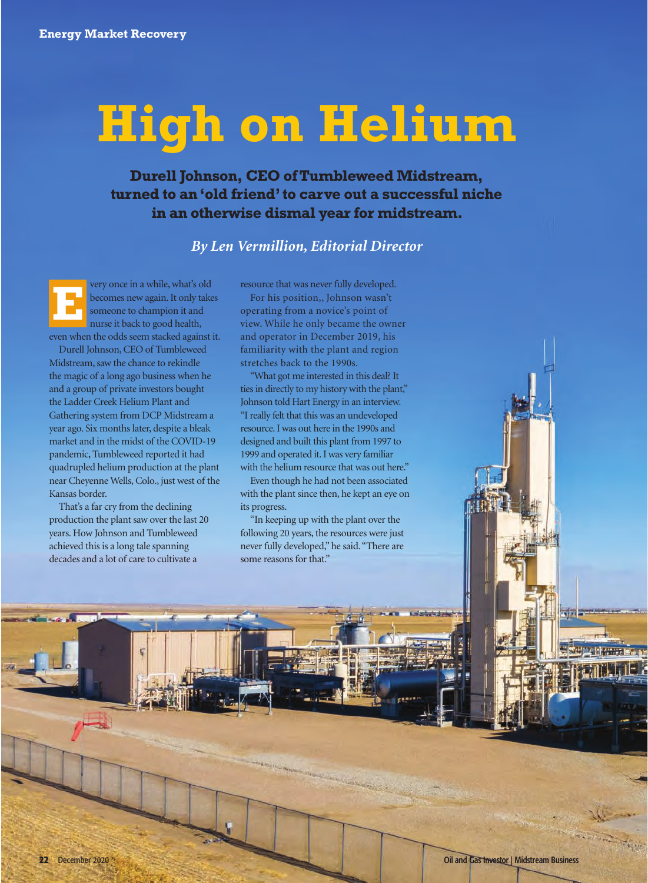# **High on Helium**

**Durell Johnson, CEO of Tumbleweed Midstream, turned to an 'old friend' to carve out a successful niche in an otherwise dismal year for midstream.**

*By Len Vermillion, Editorial Director*

very once in a while, what's old becomes new again. It only takes someone to champion it and nurse it back to good health, even when the odds seem stacked against it. Durell Johnson, CEO of Tumbleweed Midstream, saw the chance to rekindle **E**

the magic of a long ago business when he and a group of private investors bought the Ladder Creek Helium Plant and Gathering system from DCP Midstream a year ago. Six months later, despite a bleak market and in the midst of the COVID-19 pandemic, Tumbleweed reported it had quadrupled helium production at the plant near Cheyenne Wells, Colo., just west of the Kansas border.

That's a far cry from the declining production the plant saw over the last 20 years. How Johnson and Tumbleweed achieved this is a long tale spanning decades and a lot of care to cultivate a

resource that was never fully developed.

For his position,, Johnson wasn't operating from a novice's point of view. While he only became the owner and operator in December 2019, his familiarity with the plant and region stretches back to the 1990s.

"What got me interested in this deal? It ties in directly to my history with the plant," Johnson told Hart Energy in an interview. "I really felt that this was an undeveloped resource. I was out here in the 1990s and designed and built this plant from 1997 to 1999 and operated it. I was very familiar with the helium resource that was out here."

Even though he had not been associated with the plant since then, he kept an eye on its progress.

"In keeping up with the plant over the following 20 years, the resources were just never fully developed," he said. "There are some reasons for that."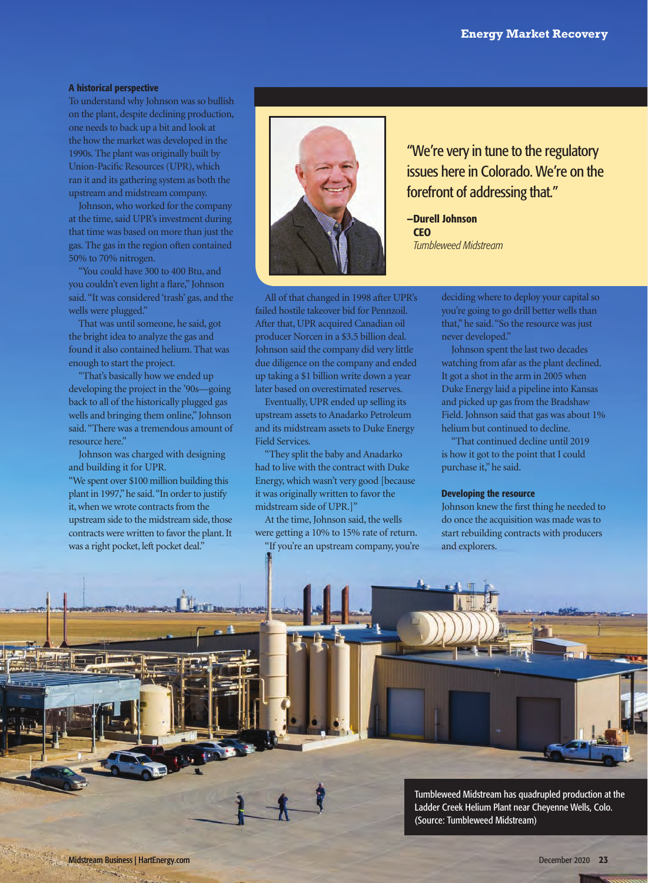## A historical perspective

To understand why Johnson was so bullish on the plant, despite declining production, one needs to back up a bit and look at the how the market was developed in the 1990s. The plant was originally built by Union-Pacific Resources (UPR), which ran it and its gathering system as both the upstream and midstream company.

Johnson, who worked for the company at the time, said UPR's investment during that time was based on more than just the gas. The gas in the region often contained 50% to 70% nitrogen.

"You could have 300 to 400 Btu, and you couldn't even light a flare," Johnson said. "It was considered 'trash' gas, and the wells were plugged."

That was until someone, he said, got the bright idea to analyze the gas and found it also contained helium. That was enough to start the project.

"That's basically how we ended up developing the project in the '90s—going back to all of the historically plugged gas wells and bringing them online," Johnson said. "There was a tremendous amount of resource here."

Johnson was charged with designing and building it for UPR.

"We spent over \$100 million building this plant in 1997," he said. "In order to justify it, when we wrote contracts from the upstream side to the midstream side, those contracts were written to favor the plant. It was a right pocket, left pocket deal."



All of that changed in 1998 after UPR's failed hostile takeover bid for Pennzoil. After that, UPR acquired Canadian oil producer Norcen in a \$3.5 billion deal. Johnson said the company did very little due diligence on the company and ended up taking a \$1 billion write down a year later based on overestimated reserves.

Eventually, UPR ended up selling its upstream assets to Anadarko Petroleum and its midstream assets to Duke Energy Field Services.

"They split the baby and Anadarko had to live with the contract with Duke Energy, which wasn't very good [because it was originally written to favor the midstream side of UPR.]"

At the time, Johnson said, the wells were getting a 10% to 15% rate of return.

"If you're an upstream company, you're

"We're very in tune to the regulatory issues here in Colorado. We're on the forefront of addressing that."

—Durell Johnson **CEO** *Tumbleweed Midstream*

> deciding where to deploy your capital so you're going to go drill better wells than that," he said. "So the resource was just never developed."

Johnson spent the last two decades watching from afar as the plant declined. It got a shot in the arm in 2005 when Duke Energy laid a pipeline into Kansas and picked up gas from the Bradshaw Field. Johnson said that gas was about 1% helium but continued to decline.

"That continued decline until 2019 is how it got to the point that I could purchase it," he said.

### Developing the resource

Johnson knew the first thing he needed to do once the acquisition was made was to start rebuilding contracts with producers and explorers.